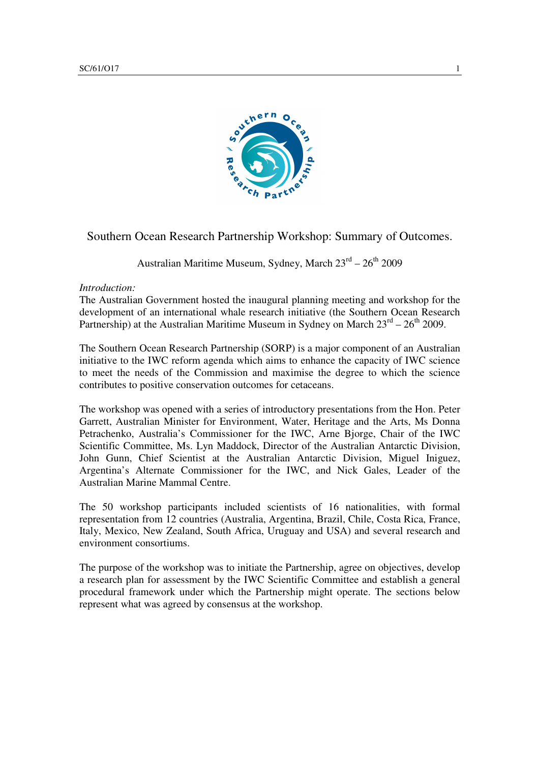

# Southern Ocean Research Partnership Workshop: Summary of Outcomes.

Australian Maritime Museum, Sydney, March  $23<sup>rd</sup> - 26<sup>th</sup>$  2009

# *Introduction:*

The Australian Government hosted the inaugural planning meeting and workshop for the development of an international whale research initiative (the Southern Ocean Research Partnership) at the Australian Maritime Museum in Sydney on March  $23^{rd} - 26^{th}$  2009.

The Southern Ocean Research Partnership (SORP) is a major component of an Australian initiative to the IWC reform agenda which aims to enhance the capacity of IWC science to meet the needs of the Commission and maximise the degree to which the science contributes to positive conservation outcomes for cetaceans.

The workshop was opened with a series of introductory presentations from the Hon. Peter Garrett, Australian Minister for Environment, Water, Heritage and the Arts, Ms Donna Petrachenko, Australia's Commissioner for the IWC, Arne Bjorge, Chair of the IWC Scientific Committee, Ms. Lyn Maddock, Director of the Australian Antarctic Division, John Gunn, Chief Scientist at the Australian Antarctic Division, Miguel Iniguez, Argentina's Alternate Commissioner for the IWC, and Nick Gales, Leader of the Australian Marine Mammal Centre.

The 50 workshop participants included scientists of 16 nationalities, with formal representation from 12 countries (Australia, Argentina, Brazil, Chile, Costa Rica, France, Italy, Mexico, New Zealand, South Africa, Uruguay and USA) and several research and environment consortiums.

The purpose of the workshop was to initiate the Partnership, agree on objectives, develop a research plan for assessment by the IWC Scientific Committee and establish a general procedural framework under which the Partnership might operate. The sections below represent what was agreed by consensus at the workshop.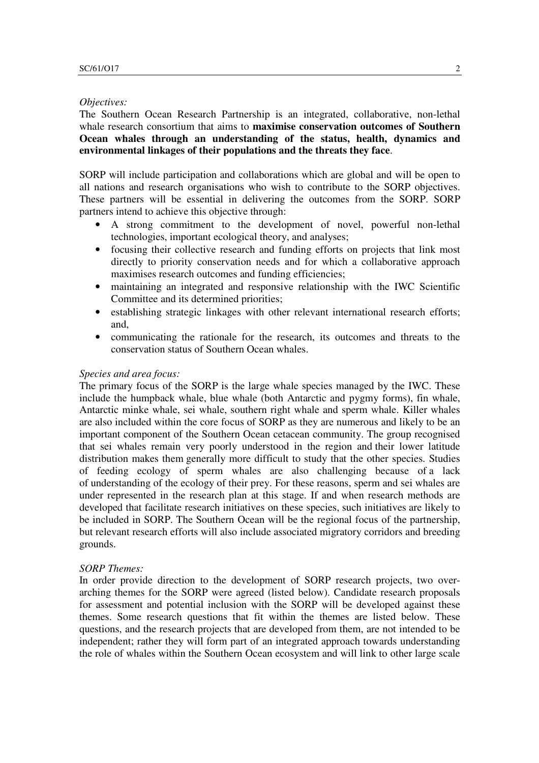#### *Objectives:*

The Southern Ocean Research Partnership is an integrated, collaborative, non-lethal whale research consortium that aims to **maximise conservation outcomes of Southern Ocean whales through an understanding of the status, health, dynamics and environmental linkages of their populations and the threats they face**.

SORP will include participation and collaborations which are global and will be open to all nations and research organisations who wish to contribute to the SORP objectives. These partners will be essential in delivering the outcomes from the SORP. SORP partners intend to achieve this objective through:

- A strong commitment to the development of novel, powerful non-lethal technologies, important ecological theory, and analyses;
- focusing their collective research and funding efforts on projects that link most directly to priority conservation needs and for which a collaborative approach maximises research outcomes and funding efficiencies;
- maintaining an integrated and responsive relationship with the IWC Scientific Committee and its determined priorities;
- establishing strategic linkages with other relevant international research efforts; and,
- communicating the rationale for the research, its outcomes and threats to the conservation status of Southern Ocean whales.

## *Species and area focus:*

The primary focus of the SORP is the large whale species managed by the IWC. These include the humpback whale, blue whale (both Antarctic and pygmy forms), fin whale, Antarctic minke whale, sei whale, southern right whale and sperm whale. Killer whales are also included within the core focus of SORP as they are numerous and likely to be an important component of the Southern Ocean cetacean community. The group recognised that sei whales remain very poorly understood in the region and their lower latitude distribution makes them generally more difficult to study that the other species. Studies of feeding ecology of sperm whales are also challenging because of a lack of understanding of the ecology of their prey. For these reasons, sperm and sei whales are under represented in the research plan at this stage. If and when research methods are developed that facilitate research initiatives on these species, such initiatives are likely to be included in SORP. The Southern Ocean will be the regional focus of the partnership, but relevant research efforts will also include associated migratory corridors and breeding grounds.

#### *SORP Themes:*

In order provide direction to the development of SORP research projects, two overarching themes for the SORP were agreed (listed below). Candidate research proposals for assessment and potential inclusion with the SORP will be developed against these themes. Some research questions that fit within the themes are listed below. These questions, and the research projects that are developed from them, are not intended to be independent; rather they will form part of an integrated approach towards understanding the role of whales within the Southern Ocean ecosystem and will link to other large scale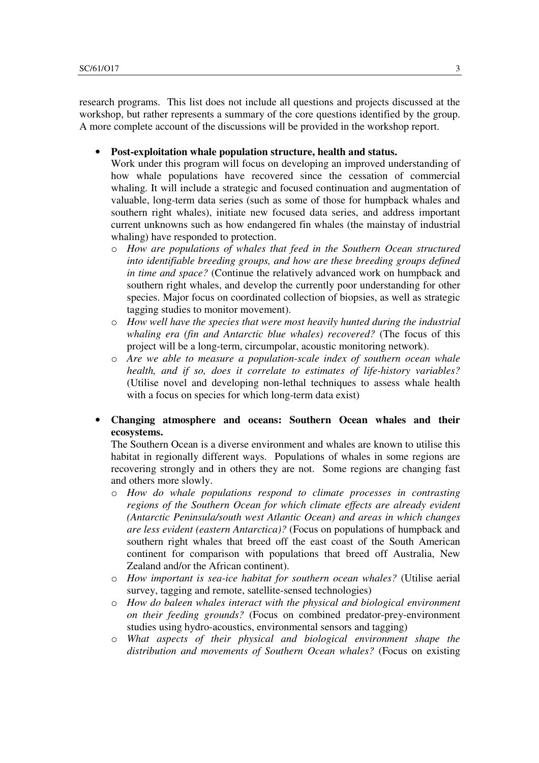research programs. This list does not include all questions and projects discussed at the workshop, but rather represents a summary of the core questions identified by the group. A more complete account of the discussions will be provided in the workshop report.

• **Post-exploitation whale population structure, health and status.** 

Work under this program will focus on developing an improved understanding of how whale populations have recovered since the cessation of commercial whaling. It will include a strategic and focused continuation and augmentation of valuable, long-term data series (such as some of those for humpback whales and southern right whales), initiate new focused data series, and address important current unknowns such as how endangered fin whales (the mainstay of industrial whaling) have responded to protection.

- o *How are populations of whales that feed in the Southern Ocean structured into identifiable breeding groups, and how are these breeding groups defined in time and space?* (Continue the relatively advanced work on humpback and southern right whales, and develop the currently poor understanding for other species. Major focus on coordinated collection of biopsies, as well as strategic tagging studies to monitor movement).
- o *How well have the species that were most heavily hunted during the industrial whaling era (fin and Antarctic blue whales) recovered?* (The focus of this project will be a long-term, circumpolar, acoustic monitoring network).
- o *Are we able to measure a population-scale index of southern ocean whale health, and if so, does it correlate to estimates of life-history variables?* (Utilise novel and developing non-lethal techniques to assess whale health with a focus on species for which long-term data exist)
- **Changing atmosphere and oceans: Southern Ocean whales and their ecosystems.**

The Southern Ocean is a diverse environment and whales are known to utilise this habitat in regionally different ways. Populations of whales in some regions are recovering strongly and in others they are not. Some regions are changing fast and others more slowly.

- o *How do whale populations respond to climate processes in contrasting regions of the Southern Ocean for which climate effects are already evident (Antarctic Peninsula/south west Atlantic Ocean) and areas in which changes are less evident (eastern Antarctica)?* (Focus on populations of humpback and southern right whales that breed off the east coast of the South American continent for comparison with populations that breed off Australia, New Zealand and/or the African continent).
- o *How important is sea-ice habitat for southern ocean whales?* (Utilise aerial survey, tagging and remote, satellite-sensed technologies)
- o *How do baleen whales interact with the physical and biological environment on their feeding grounds?* (Focus on combined predator-prey-environment studies using hydro-acoustics, environmental sensors and tagging)
- o *What aspects of their physical and biological environment shape the distribution and movements of Southern Ocean whales?* (Focus on existing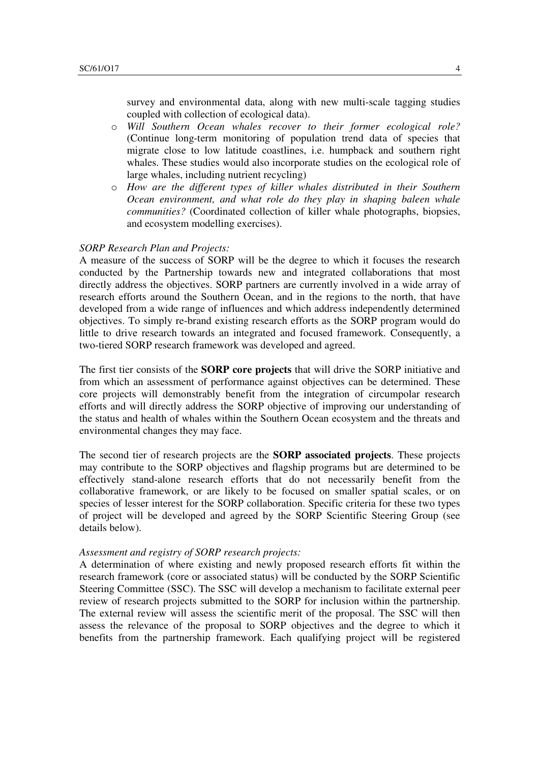survey and environmental data, along with new multi-scale tagging studies coupled with collection of ecological data).

- o *Will Southern Ocean whales recover to their former ecological role?* (Continue long-term monitoring of population trend data of species that migrate close to low latitude coastlines, i.e. humpback and southern right whales. These studies would also incorporate studies on the ecological role of large whales, including nutrient recycling)
- o *How are the different types of killer whales distributed in their Southern Ocean environment, and what role do they play in shaping baleen whale communities?* (Coordinated collection of killer whale photographs, biopsies, and ecosystem modelling exercises).

### *SORP Research Plan and Projects:*

A measure of the success of SORP will be the degree to which it focuses the research conducted by the Partnership towards new and integrated collaborations that most directly address the objectives. SORP partners are currently involved in a wide array of research efforts around the Southern Ocean, and in the regions to the north, that have developed from a wide range of influences and which address independently determined objectives. To simply re-brand existing research efforts as the SORP program would do little to drive research towards an integrated and focused framework. Consequently, a two-tiered SORP research framework was developed and agreed.

The first tier consists of the **SORP core projects** that will drive the SORP initiative and from which an assessment of performance against objectives can be determined. These core projects will demonstrably benefit from the integration of circumpolar research efforts and will directly address the SORP objective of improving our understanding of the status and health of whales within the Southern Ocean ecosystem and the threats and environmental changes they may face.

The second tier of research projects are the **SORP associated projects**. These projects may contribute to the SORP objectives and flagship programs but are determined to be effectively stand-alone research efforts that do not necessarily benefit from the collaborative framework, or are likely to be focused on smaller spatial scales, or on species of lesser interest for the SORP collaboration. Specific criteria for these two types of project will be developed and agreed by the SORP Scientific Steering Group (see details below).

### *Assessment and registry of SORP research projects:*

A determination of where existing and newly proposed research efforts fit within the research framework (core or associated status) will be conducted by the SORP Scientific Steering Committee (SSC). The SSC will develop a mechanism to facilitate external peer review of research projects submitted to the SORP for inclusion within the partnership. The external review will assess the scientific merit of the proposal. The SSC will then assess the relevance of the proposal to SORP objectives and the degree to which it benefits from the partnership framework. Each qualifying project will be registered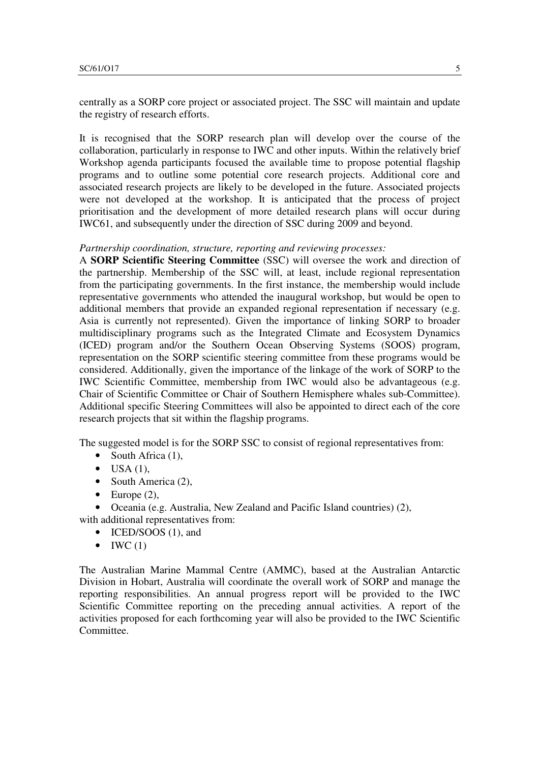centrally as a SORP core project or associated project. The SSC will maintain and update the registry of research efforts.

It is recognised that the SORP research plan will develop over the course of the collaboration, particularly in response to IWC and other inputs. Within the relatively brief Workshop agenda participants focused the available time to propose potential flagship programs and to outline some potential core research projects. Additional core and associated research projects are likely to be developed in the future. Associated projects were not developed at the workshop. It is anticipated that the process of project prioritisation and the development of more detailed research plans will occur during IWC61, and subsequently under the direction of SSC during 2009 and beyond.

# *Partnership coordination, structure, reporting and reviewing processes:*

A **SORP Scientific Steering Committee** (SSC) will oversee the work and direction of the partnership. Membership of the SSC will, at least, include regional representation from the participating governments. In the first instance, the membership would include representative governments who attended the inaugural workshop, but would be open to additional members that provide an expanded regional representation if necessary (e.g. Asia is currently not represented). Given the importance of linking SORP to broader multidisciplinary programs such as the Integrated Climate and Ecosystem Dynamics (ICED) program and/or the Southern Ocean Observing Systems (SOOS) program, representation on the SORP scientific steering committee from these programs would be considered. Additionally, given the importance of the linkage of the work of SORP to the IWC Scientific Committee, membership from IWC would also be advantageous (e.g. Chair of Scientific Committee or Chair of Southern Hemisphere whales sub-Committee). Additional specific Steering Committees will also be appointed to direct each of the core research projects that sit within the flagship programs.

The suggested model is for the SORP SSC to consist of regional representatives from:

- South Africa (1),
- $\bullet$  USA (1),
- South America (2),
- Europe  $(2)$ ,

• Oceania (e.g. Australia, New Zealand and Pacific Island countries) (2), with additional representatives from:

- ICED/SOOS (1), and
- $\bullet$  IWC (1)

The Australian Marine Mammal Centre (AMMC), based at the Australian Antarctic Division in Hobart, Australia will coordinate the overall work of SORP and manage the reporting responsibilities. An annual progress report will be provided to the IWC Scientific Committee reporting on the preceding annual activities. A report of the activities proposed for each forthcoming year will also be provided to the IWC Scientific Committee.